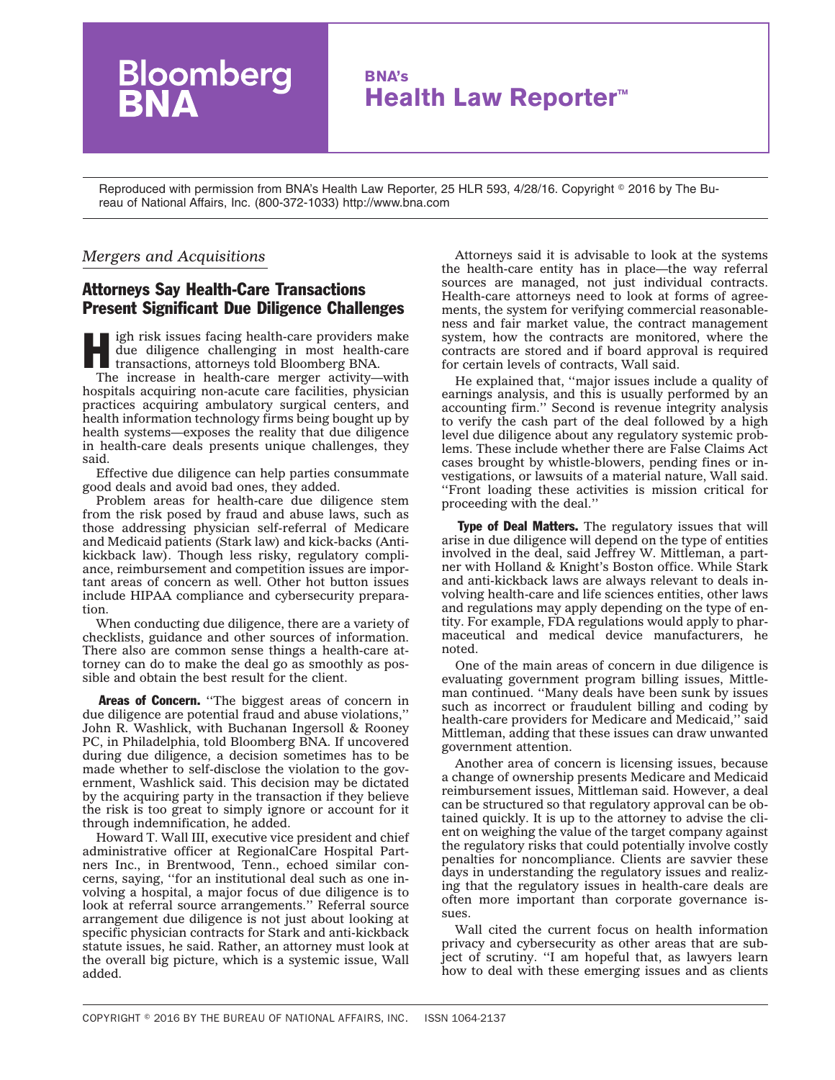## **BNA's Health Law Reporter™**

Reproduced with permission from BNA's Health Law Reporter, 25 HLR 593, 4/28/16. Copyright © 2016 by The Bureau of National Affairs, Inc. (800-372-1033) http://www.bna.com

## *Mergers and Acquisitions*

Bloomberg

## Attorneys Say Health-Care Transactions Present Significant Due Diligence Challenges

igh risk issues facing health-care providers make due diligence challenging in most health-care transactions, attorneys told Bloomberg BNA.

The increase in health-care merger activity—with hospitals acquiring non-acute care facilities, physician practices acquiring ambulatory surgical centers, and health information technology firms being bought up by health systems—exposes the reality that due diligence in health-care deals presents unique challenges, they said.

Effective due diligence can help parties consummate good deals and avoid bad ones, they added.

Problem areas for health-care due diligence stem from the risk posed by fraud and abuse laws, such as those addressing physician self-referral of Medicare and Medicaid patients (Stark law) and kick-backs (Antikickback law). Though less risky, regulatory compliance, reimbursement and competition issues are important areas of concern as well. Other hot button issues include HIPAA compliance and cybersecurity preparation.

When conducting due diligence, there are a variety of checklists, guidance and other sources of information. There also are common sense things a health-care attorney can do to make the deal go as smoothly as possible and obtain the best result for the client.

Areas of Concern. "The biggest areas of concern in due diligence are potential fraud and abuse violations,'' John R. Washlick, with Buchanan Ingersoll & Rooney PC, in Philadelphia, told Bloomberg BNA. If uncovered during due diligence, a decision sometimes has to be made whether to self-disclose the violation to the government, Washlick said. This decision may be dictated by the acquiring party in the transaction if they believe the risk is too great to simply ignore or account for it through indemnification, he added.

Howard T. Wall III, executive vice president and chief administrative officer at RegionalCare Hospital Partners Inc., in Brentwood, Tenn., echoed similar concerns, saying, ''for an institutional deal such as one involving a hospital, a major focus of due diligence is to look at referral source arrangements.'' Referral source arrangement due diligence is not just about looking at specific physician contracts for Stark and anti-kickback statute issues, he said. Rather, an attorney must look at the overall big picture, which is a systemic issue, Wall added.

Attorneys said it is advisable to look at the systems the health-care entity has in place—the way referral sources are managed, not just individual contracts. Health-care attorneys need to look at forms of agreements, the system for verifying commercial reasonableness and fair market value, the contract management system, how the contracts are monitored, where the contracts are stored and if board approval is required for certain levels of contracts, Wall said.

He explained that, ''major issues include a quality of earnings analysis, and this is usually performed by an accounting firm.'' Second is revenue integrity analysis to verify the cash part of the deal followed by a high level due diligence about any regulatory systemic problems. These include whether there are False Claims Act cases brought by whistle-blowers, pending fines or investigations, or lawsuits of a material nature, Wall said. ''Front loading these activities is mission critical for proceeding with the deal.''

Type of Deal Matters. The regulatory issues that will arise in due diligence will depend on the type of entities involved in the deal, said Jeffrey W. Mittleman, a partner with Holland & Knight's Boston office. While Stark and anti-kickback laws are always relevant to deals involving health-care and life sciences entities, other laws and regulations may apply depending on the type of entity. For example, FDA regulations would apply to pharmaceutical and medical device manufacturers, he noted.

One of the main areas of concern in due diligence is evaluating government program billing issues, Mittleman continued. ''Many deals have been sunk by issues such as incorrect or fraudulent billing and coding by health-care providers for Medicare and Medicaid,'' said Mittleman, adding that these issues can draw unwanted government attention.

Another area of concern is licensing issues, because a change of ownership presents Medicare and Medicaid reimbursement issues, Mittleman said. However, a deal can be structured so that regulatory approval can be obtained quickly. It is up to the attorney to advise the client on weighing the value of the target company against the regulatory risks that could potentially involve costly penalties for noncompliance. Clients are savvier these days in understanding the regulatory issues and realizing that the regulatory issues in health-care deals are often more important than corporate governance issues.

Wall cited the current focus on health information privacy and cybersecurity as other areas that are subject of scrutiny. ''I am hopeful that, as lawyers learn how to deal with these emerging issues and as clients